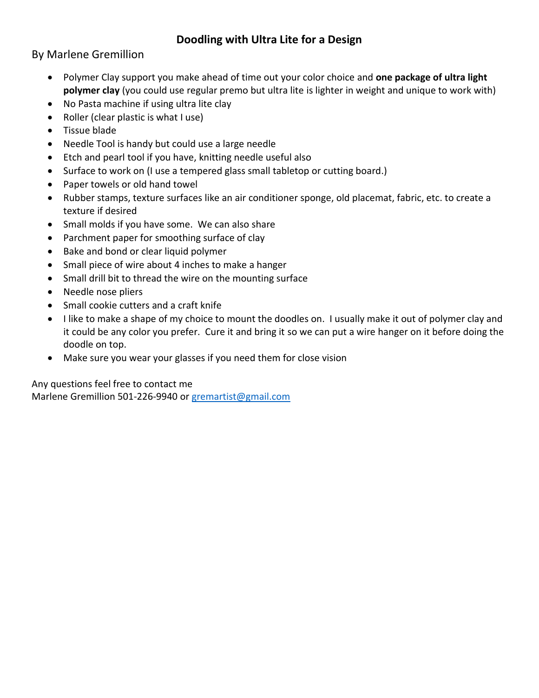## **Doodling with Ultra Lite for a Design**

By Marlene Gremillion

- Polymer Clay support you make ahead of time out your color choice and **one package of ultra light polymer clay** (you could use regular premo but ultra lite is lighter in weight and unique to work with)
- No Pasta machine if using ultra lite clay
- Roller (clear plastic is what I use)
- Tissue blade
- Needle Tool is handy but could use a large needle
- Etch and pearl tool if you have, knitting needle useful also
- Surface to work on (I use a tempered glass small tabletop or cutting board.)
- Paper towels or old hand towel
- Rubber stamps, texture surfaces like an air conditioner sponge, old placemat, fabric, etc. to create a texture if desired
- Small molds if you have some. We can also share
- Parchment paper for smoothing surface of clay
- Bake and bond or clear liquid polymer
- Small piece of wire about 4 inches to make a hanger
- Small drill bit to thread the wire on the mounting surface
- Needle nose pliers
- Small cookie cutters and a craft knife
- I like to make a shape of my choice to mount the doodles on. I usually make it out of polymer clay and it could be any color you prefer. Cure it and bring it so we can put a wire hanger on it before doing the doodle on top.
- Make sure you wear your glasses if you need them for close vision

Any questions feel free to contact me Marlene Gremillion 501-226-9940 o[r gremartist@gmail.com](mailto:gremartist@gmail.com)